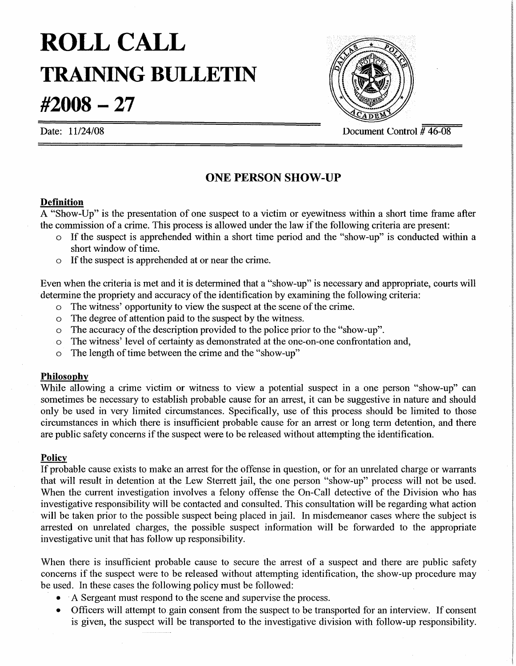# **ROLLCALL TRAINING BULLETIN**

**#2008 - 27**



Date:  $11/24/08$  Document Control  $\frac{1}{4}46-08$ 

## **ONE PERSON SHOW-UP**

#### **Dermition**

A "Show-Up" is the presentation of one suspect to a victim or eyewitness within a short time frame after the commission of a crime. This process is allowed under the law if the following criteria are present:

- o If the suspect is apprehended within a short time period and the "show-up" is conducted within a short window of time.
- o Ifthe suspect is apprehended at or near the crime.

Even when the criteria is met and it is determined that a "show-up" is necessary and appropriate, courts will determine the propriety and accuracy of the identification by examining the following criteria:

- $\circ$  The witness' opportunity to view the suspect at the scene of the crime.
- a The degree of attention paid to the suspect by the witness.
- $\circ$  The accuracy of the description provided to the police prior to the "show-up".
- a The witness' level of certainty as demonstrated at the one-on-one confrontation and,
- $\circ$  The length of time between the crime and the "show-up"

#### **Philosophy**

While allowing a crime victim or witness to view a potential suspect in a one person "show-up" can sometimes be necessary to establish probable cause for an arrest, it can be suggestive in nature and should only be used in very limited circumstances. Specifically, use of this process should be limited to those circumstances in which there is insufficient probable cause for an arrest or long term detention, and there are public safety concerns if the suspect were to be released without attempting the identification.

### **Policy**

If probable cause exists to make an arrest for the offense in question, or for an unrelated charge or warrants that will result in detention at the Lew Sterrett jail, the one person "show-up" process will not be used. When the current investigation involves a felony offense the On-Call detective of the Division who has investigative responsibility will be contacted and consulted. This consultation will be regarding what action will be taken prior to the possible suspect being placed in jail. In misdemeanor cases where the subject is arrested on unrelated charges, the possible suspect information will be forwarded to the appropriate investigative unit that has follow up responsibility.

When there is insufficient probable cause to secure the arrest of a suspect and there are public safety concerns if the suspect were to be released without attempting identification, the show-up procedure may be used. In these cases the following policy must be followed:

- .A Sergeant must respond to the scene and supervise the process.
- Officers will attempt to gain consent from the suspect to be transported for an interview. If consent is given, the suspect will be transported to the investigative division with follow-up responsibility.